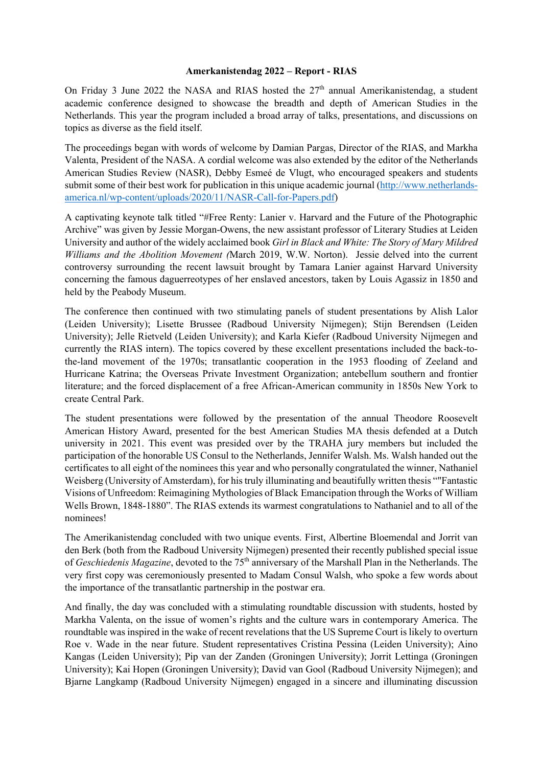## **Amerkanistendag 2022 – Report - RIAS**

On Friday 3 June 2022 the NASA and RIAS hosted the 27<sup>th</sup> annual Amerikanistendag, a student academic conference designed to showcase the breadth and depth of American Studies in the Netherlands. This year the program included a broad array of talks, presentations, and discussions on topics as diverse as the field itself.

The proceedings began with words of welcome by Damian Pargas, Director of the RIAS, and Markha Valenta, President of the NASA. A cordial welcome was also extended by the editor of the Netherlands American Studies Review (NASR), Debby Esmeé de Vlugt, who encouraged speakers and students submit some of their best work for publication in this unique academic journal (http://www.netherlandsamerica.nl/wp-content/uploads/2020/11/NASR-Call-for-Papers.pdf)

A captivating keynote talk titled "#Free Renty: Lanier v. Harvard and the Future of the Photographic Archive" was given by Jessie Morgan-Owens, the new assistant professor of Literary Studies at Leiden University and author of the widely acclaimed book *Girl in Black and White: The Story of Mary Mildred Williams and the Abolition Movement (*March 2019, W.W. Norton). Jessie delved into the current controversy surrounding the recent lawsuit brought by Tamara Lanier against Harvard University concerning the famous daguerreotypes of her enslaved ancestors, taken by Louis Agassiz in 1850 and held by the Peabody Museum.

The conference then continued with two stimulating panels of student presentations by Alish Lalor (Leiden University); Lisette Brussee (Radboud University Nijmegen); Stijn Berendsen (Leiden University); Jelle Rietveld (Leiden University); and Karla Kiefer (Radboud University Nijmegen and currently the RIAS intern). The topics covered by these excellent presentations included the back-tothe-land movement of the 1970s; transatlantic cooperation in the 1953 flooding of Zeeland and Hurricane Katrina; the Overseas Private Investment Organization; antebellum southern and frontier literature; and the forced displacement of a free African-American community in 1850s New York to create Central Park.

The student presentations were followed by the presentation of the annual Theodore Roosevelt American History Award, presented for the best American Studies MA thesis defended at a Dutch university in 2021. This event was presided over by the TRAHA jury members but included the participation of the honorable US Consul to the Netherlands, Jennifer Walsh. Ms. Walsh handed out the certificates to all eight of the nominees this year and who personally congratulated the winner, Nathaniel Weisberg (University of Amsterdam), for his truly illuminating and beautifully written thesis ""Fantastic Visions of Unfreedom: Reimagining Mythologies of Black Emancipation through the Works of William Wells Brown, 1848-1880". The RIAS extends its warmest congratulations to Nathaniel and to all of the nominees!

The Amerikanistendag concluded with two unique events. First, Albertine Bloemendal and Jorrit van den Berk (both from the Radboud University Nijmegen) presented their recently published special issue of *Geschiedenis Magazine*, devoted to the 75<sup>th</sup> anniversary of the Marshall Plan in the Netherlands. The very first copy was ceremoniously presented to Madam Consul Walsh, who spoke a few words about the importance of the transatlantic partnership in the postwar era.

And finally, the day was concluded with a stimulating roundtable discussion with students, hosted by Markha Valenta, on the issue of women's rights and the culture wars in contemporary America. The roundtable was inspired in the wake of recent revelations that the US Supreme Court is likely to overturn Roe v. Wade in the near future. Student representatives Cristina Pessina (Leiden University); Aino Kangas (Leiden University); Pip van der Zanden (Groningen University); Jorrit Lettinga (Groningen University); Kai Hopen (Groningen University); David van Gool (Radboud University Nijmegen); and Bjarne Langkamp (Radboud University Nijmegen) engaged in a sincere and illuminating discussion